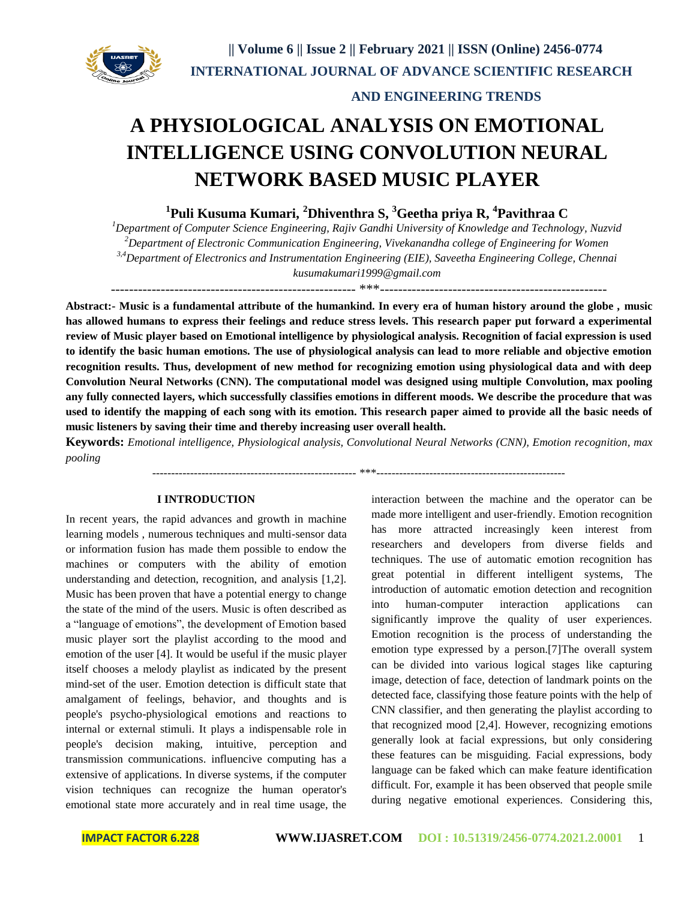

# **AND ENGINEERING TRENDS**

# **A PHYSIOLOGICAL ANALYSIS ON EMOTIONAL INTELLIGENCE USING CONVOLUTION NEURAL NETWORK BASED MUSIC PLAYER**

**1 Puli Kusuma Kumari, <sup>2</sup>Dhiventhra S, <sup>3</sup>Geetha priya R, <sup>4</sup> Pavithraa C**

*<sup>1</sup>Department of Computer Science Engineering, Rajiv Gandhi University of Knowledge and Technology, Nuzvid <sup>2</sup>Department of Electronic Communication Engineering, Vivekanandha college of Engineering for Women 3,4Department of Electronics and Instrumentation Engineering (EIE), Saveetha Engineering College, Chennai [kusumakumari1999@gmail.com](mailto:kusumakumari1999@gmail.com)*

------------------------------------------------------ \*\*\*--------------------------------------------------

**Abstract:- Music is a fundamental attribute of the humankind. In every era of human history around the globe , music has allowed humans to express their feelings and reduce stress levels. This research paper put forward a experimental review of Music player based on Emotional intelligence by physiological analysis. Recognition of facial expression is used to identify the basic human emotions. The use of physiological analysis can lead to more reliable and objective emotion recognition results. Thus, development of new method for recognizing emotion using physiological data and with deep Convolution Neural Networks (CNN). The computational model was designed using multiple Convolution, max pooling any fully connected layers, which successfully classifies emotions in different moods. We describe the procedure that was used to identify the mapping of each song with its emotion. This research paper aimed to provide all the basic needs of music listeners by saving their time and thereby increasing user overall health.**

**Keywords:** *Emotional intelligence, Physiological analysis, Convolutional Neural Networks (CNN), Emotion recognition, max pooling*

------------------------------------------------------ \*\*\*--------------------------------------------------

# **I INTRODUCTION**

In recent years, the rapid advances and growth in machine learning models , numerous techniques and multi-sensor data or information fusion has made them possible to endow the machines or computers with the ability of emotion understanding and detection, recognition, and analysis [1,2]. Music has been proven that have a potential energy to change the state of the mind of the users. Music is often described as a "language of emotions", the development of Emotion based music player sort the playlist according to the mood and emotion of the user [4]. It would be useful if the music player itself chooses a melody playlist as indicated by the present mind-set of the user. Emotion detection is difficult state that amalgament of feelings, behavior, and thoughts and is people's psycho-physiological emotions and reactions to internal or external stimuli. It plays a indispensable role in people's decision making, intuitive, perception and transmission communications. influencive computing has a extensive of applications. In diverse systems, if the computer vision techniques can recognize the human operator's emotional state more accurately and in real time usage, the interaction between the machine and the operator can be made more intelligent and user-friendly. Emotion recognition has more attracted increasingly keen interest from researchers and developers from diverse fields and techniques. The use of automatic emotion recognition has great potential in different intelligent systems, The introduction of automatic emotion detection and recognition into human-computer interaction applications can significantly improve the quality of user experiences. Emotion recognition is the process of understanding the emotion type expressed by a person.[7]The overall system can be divided into various logical stages like capturing image, detection of face, detection of landmark points on the detected face, classifying those feature points with the help of CNN classifier, and then generating the playlist according to that recognized mood [2,4]. However, recognizing emotions generally look at facial expressions, but only considering these features can be misguiding. Facial expressions, body language can be faked which can make feature identification difficult. For, example it has been observed that people smile during negative emotional experiences. Considering this,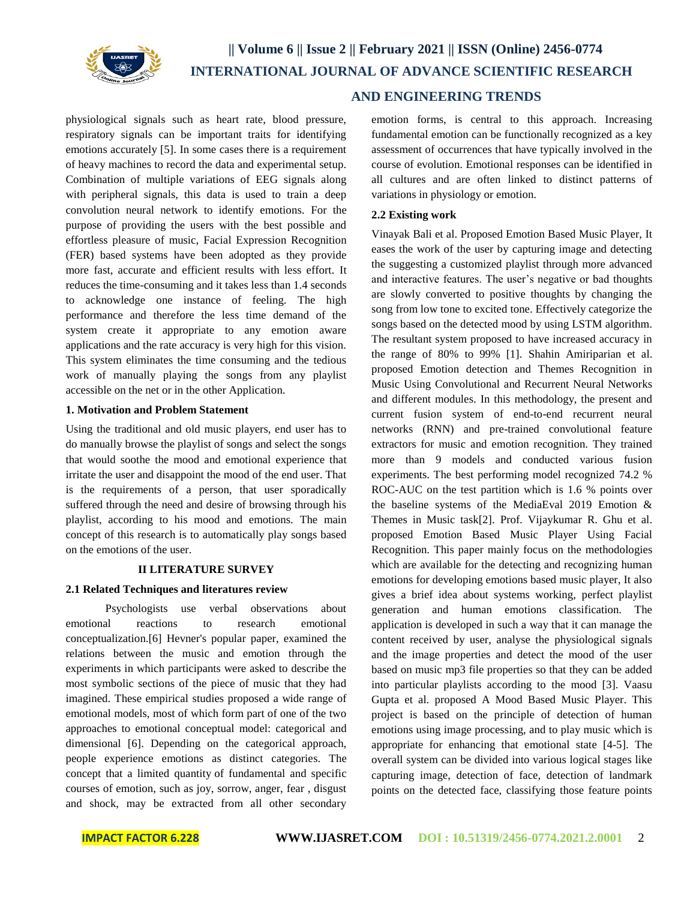

 **AND ENGINEERING TRENDS**

physiological signals such as heart rate, blood pressure, respiratory signals can be important traits for identifying emotions accurately [5]. In some cases there is a requirement of heavy machines to record the data and experimental setup. Combination of multiple variations of EEG signals along with peripheral signals, this data is used to train a deep convolution neural network to identify emotions. For the purpose of providing the users with the best possible and effortless pleasure of music, Facial Expression Recognition (FER) based systems have been adopted as they provide more fast, accurate and efficient results with less effort. It reduces the time-consuming and it takes less than 1.4 seconds to acknowledge one instance of feeling. The high performance and therefore the less time demand of the system create it appropriate to any emotion aware applications and the rate accuracy is very high for this vision. This system eliminates the time consuming and the tedious work of manually playing the songs from any playlist accessible on the net or in the other Application.

### **1. Motivation and Problem Statement**

Using the traditional and old music players, end user has to do manually browse the playlist of songs and select the songs that would soothe the mood and emotional experience that irritate the user and disappoint the mood of the end user. That is the requirements of a person, that user sporadically suffered through the need and desire of browsing through his playlist, according to his mood and emotions. The main concept of this research is to automatically play songs based on the emotions of the user.

### **II LITERATURE SURVEY**

### **2.1 Related Techniques and literatures review**

Psychologists use verbal observations about emotional reactions to research emotional conceptualization.[6] Hevner's popular paper, examined the relations between the music and emotion through the experiments in which participants were asked to describe the most symbolic sections of the piece of music that they had imagined. These empirical studies proposed a wide range of emotional models, most of which form part of one of the two approaches to emotional conceptual model: categorical and dimensional [6]. Depending on the categorical approach, people experience emotions as distinct categories. The concept that a limited quantity of fundamental and specific courses of emotion, such as joy, sorrow, anger, fear , disgust and shock, may be extracted from all other secondary emotion forms, is central to this approach. Increasing fundamental emotion can be functionally recognized as a key assessment of occurrences that have typically involved in the course of evolution. Emotional responses can be identified in all cultures and are often linked to distinct patterns of variations in physiology or emotion.

#### **2.2 Existing work**

Vinayak Bali et al. Proposed Emotion Based Music Player, It eases the work of the user by capturing image and detecting the suggesting a customized playlist through more advanced and interactive features. The user's negative or bad thoughts are slowly converted to positive thoughts by changing the song from low tone to excited tone. Effectively categorize the songs based on the detected mood by using LSTM algorithm. The resultant system proposed to have increased accuracy in the range of 80% to 99% [1]. Shahin Amiriparian et al. proposed Emotion detection and Themes Recognition in Music Using Convolutional and Recurrent Neural Networks and different modules. In this methodology, the present and current fusion system of end-to-end recurrent neural networks (RNN) and pre-trained convolutional feature extractors for music and emotion recognition. They trained more than 9 models and conducted various fusion experiments. The best performing model recognized 74.2 % ROC-AUC on the test partition which is 1.6 % points over the baseline systems of the MediaEval 2019 Emotion & Themes in Music task[2]. Prof. Vijaykumar R. Ghu et al. proposed Emotion Based Music Player Using Facial Recognition. This paper mainly focus on the methodologies which are available for the detecting and recognizing human emotions for developing emotions based music player, It also gives a brief idea about systems working, perfect playlist generation and human emotions classification. The application is developed in such a way that it can manage the content received by user, analyse the physiological signals and the image properties and detect the mood of the user based on music mp3 file properties so that they can be added into particular playlists according to the mood [3]. Vaasu Gupta et al. proposed A Mood Based Music Player. This project is based on the principle of detection of human emotions using image processing, and to play music which is appropriate for enhancing that emotional state [4-5]. The overall system can be divided into various logical stages like capturing image, detection of face, detection of landmark points on the detected face, classifying those feature points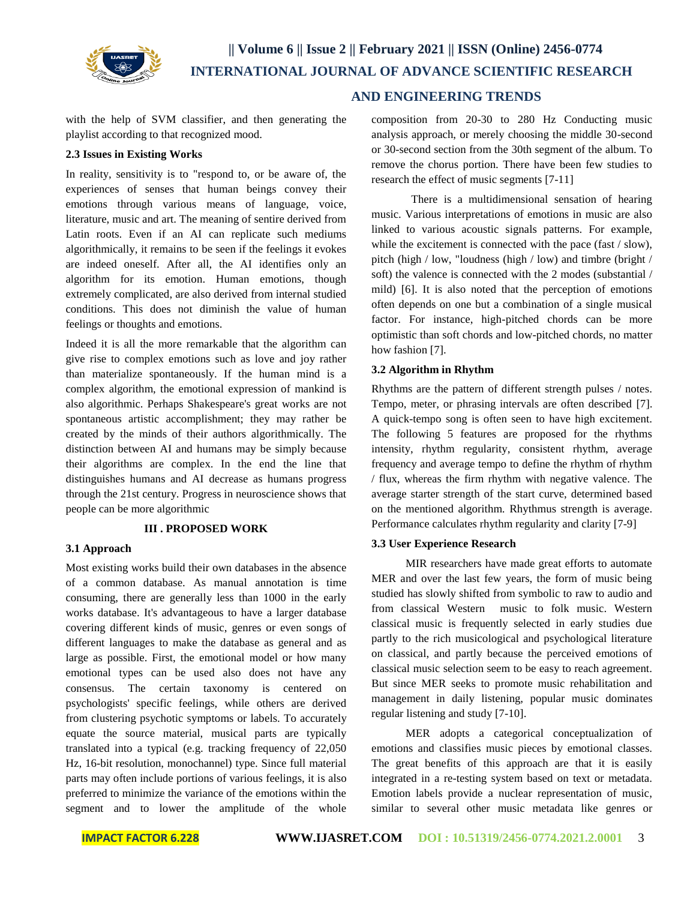

with the help of SVM classifier, and then generating the playlist according to that recognized mood.

### **2.3 Issues in Existing Works**

In reality, sensitivity is to "respond to, or be aware of, the experiences of senses that human beings convey their emotions through various means of language, voice, literature, music and art. The meaning of sentire derived from Latin roots. Even if an AI can replicate such mediums algorithmically, it remains to be seen if the feelings it evokes are indeed oneself. After all, the AI identifies only an algorithm for its emotion. Human emotions, though extremely complicated, are also derived from internal studied conditions. This does not diminish the value of human feelings or thoughts and emotions.

Indeed it is all the more remarkable that the algorithm can give rise to complex emotions such as love and joy rather than materialize spontaneously. If the human mind is a complex algorithm, the emotional expression of mankind is also algorithmic. Perhaps Shakespeare's great works are not spontaneous artistic accomplishment; they may rather be created by the minds of their authors algorithmically. The distinction between AI and humans may be simply because their algorithms are complex. In the end the line that distinguishes humans and AI decrease as humans progress through the 21st century. Progress in neuroscience shows that people can be more algorithmic

# **III . PROPOSED WORK**

### **3.1 Approach**

Most existing works build their own databases in the absence of a common database. As manual annotation is time consuming, there are generally less than 1000 in the early works database. It's advantageous to have a larger database covering different kinds of music, genres or even songs of different languages to make the database as general and as large as possible. First, the emotional model or how many emotional types can be used also does not have any consensus. The certain taxonomy is centered on psychologists' specific feelings, while others are derived from clustering psychotic symptoms or labels. To accurately equate the source material, musical parts are typically translated into a typical (e.g. tracking frequency of 22,050 Hz, 16-bit resolution, monochannel) type. Since full material parts may often include portions of various feelings, it is also preferred to minimize the variance of the emotions within the segment and to lower the amplitude of the whole

# **AND ENGINEERING TRENDS**

composition from 20-30 to 280 Hz Conducting music analysis approach, or merely choosing the middle 30-second or 30-second section from the 30th segment of the album. To remove the chorus portion. There have been few studies to research the effect of music segments [7-11]

There is a multidimensional sensation of hearing music. Various interpretations of emotions in music are also linked to various acoustic signals patterns. For example, while the excitement is connected with the pace (fast / slow), pitch (high / low, "loudness (high / low) and timbre (bright / soft) the valence is connected with the 2 modes (substantial / mild) [6]. It is also noted that the perception of emotions often depends on one but a combination of a single musical factor. For instance, high-pitched chords can be more optimistic than soft chords and low-pitched chords, no matter how fashion [7].

### **3.2 Algorithm in Rhythm**

Rhythms are the pattern of different strength pulses / notes. Tempo, meter, or phrasing intervals are often described [7]. A quick-tempo song is often seen to have high excitement. The following 5 features are proposed for the rhythms intensity, rhythm regularity, consistent rhythm, average frequency and average tempo to define the rhythm of rhythm / flux, whereas the firm rhythm with negative valence. The average starter strength of the start curve, determined based on the mentioned algorithm. Rhythmus strength is average. Performance calculates rhythm regularity and clarity [7-9]

# **3.3 User Experience Research**

MIR researchers have made great efforts to automate MER and over the last few years, the form of music being studied has slowly shifted from symbolic to raw to audio and from classical Western music to folk music. Western classical music is frequently selected in early studies due partly to the rich musicological and psychological literature on classical, and partly because the perceived emotions of classical music selection seem to be easy to reach agreement. But since MER seeks to promote music rehabilitation and management in daily listening, popular music dominates regular listening and study [7-10].

MER adopts a categorical conceptualization of emotions and classifies music pieces by emotional classes. The great benefits of this approach are that it is easily integrated in a re-testing system based on text or metadata. Emotion labels provide a nuclear representation of music, similar to several other music metadata like genres or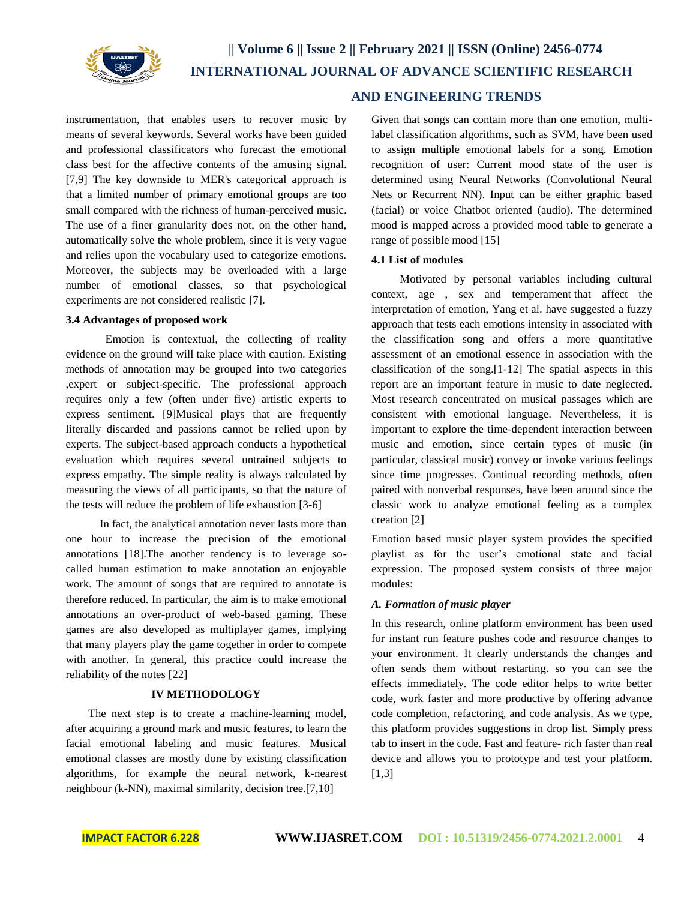

instrumentation, that enables users to recover music by means of several keywords. Several works have been guided and professional classificators who forecast the emotional class best for the affective contents of the amusing signal. [7,9] The key downside to MER's categorical approach is that a limited number of primary emotional groups are too small compared with the richness of human-perceived music. The use of a finer granularity does not, on the other hand, automatically solve the whole problem, since it is very vague and relies upon the vocabulary used to categorize emotions. Moreover, the subjects may be overloaded with a large number of emotional classes, so that psychological experiments are not considered realistic [7].

### **3.4 Advantages of proposed work**

Emotion is contextual, the collecting of reality evidence on the ground will take place with caution. Existing methods of annotation may be grouped into two categories ,expert or subject-specific. The professional approach requires only a few (often under five) artistic experts to express sentiment. [9]Musical plays that are frequently literally discarded and passions cannot be relied upon by experts. The subject-based approach conducts a hypothetical evaluation which requires several untrained subjects to express empathy. The simple reality is always calculated by measuring the views of all participants, so that the nature of the tests will reduce the problem of life exhaustion [3-6]

In fact, the analytical annotation never lasts more than one hour to increase the precision of the emotional annotations [18].The another tendency is to leverage socalled human estimation to make annotation an enjoyable work. The amount of songs that are required to annotate is therefore reduced. In particular, the aim is to make emotional annotations an over-product of web-based gaming. These games are also developed as multiplayer games, implying that many players play the game together in order to compete with another. In general, this practice could increase the reliability of the notes [22]

# **IV METHODOLOGY**

The next step is to create a machine-learning model, after acquiring a ground mark and music features, to learn the facial emotional labeling and music features. Musical emotional classes are mostly done by existing classification algorithms, for example the neural network, k-nearest neighbour (k-NN), maximal similarity, decision tree.[7,10]

# **AND ENGINEERING TRENDS**

Given that songs can contain more than one emotion, multilabel classification algorithms, such as SVM, have been used to assign multiple emotional labels for a song. Emotion recognition of user: Current mood state of the user is determined using Neural Networks (Convolutional Neural Nets or Recurrent NN). Input can be either graphic based (facial) or voice Chatbot oriented (audio). The determined mood is mapped across a provided mood table to generate a range of possible mood [15]

## **4.1 List of modules**

Motivated by personal variables including cultural context, age , sex and temperament that affect the interpretation of emotion, Yang et al. have suggested a fuzzy approach that tests each emotions intensity in associated with the classification song and offers a more quantitative assessment of an emotional essence in association with the classification of the song.[1-12] The spatial aspects in this report are an important feature in music to date neglected. Most research concentrated on musical passages which are consistent with emotional language. Nevertheless, it is important to explore the time-dependent interaction between music and emotion, since certain types of music (in particular, classical music) convey or invoke various feelings since time progresses. Continual recording methods, often paired with nonverbal responses, have been around since the classic work to analyze emotional feeling as a complex creation [2]

Emotion based music player system provides the specified playlist as for the user's emotional state and facial expression. The proposed system consists of three major modules:

# *A. Formation of music player*

In this research, online platform environment has been used for instant run feature pushes code and resource changes to your environment. It clearly understands the changes and often sends them without restarting. so you can see the effects immediately. The code editor helps to write better code, work faster and more productive by offering advance code completion, refactoring, and code analysis. As we type, this platform provides suggestions in drop list. Simply press tab to insert in the code. Fast and feature- rich faster than real device and allows you to prototype and test your platform.  $[1,3]$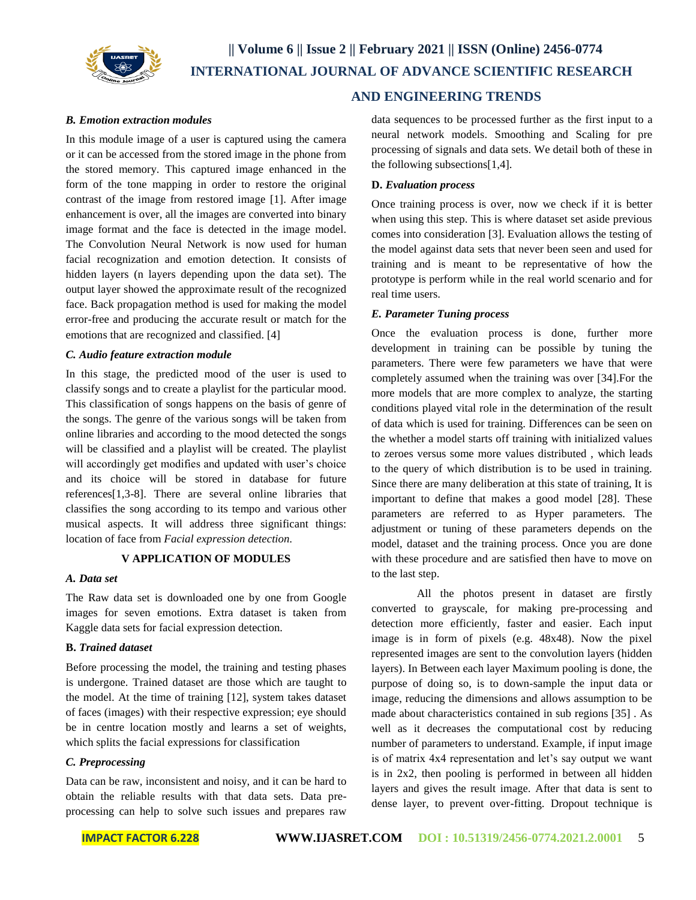

# **|| Volume 6 || Issue 2 || February 2021 || ISSN (Online) 2456-0774 INTERNATIONAL JOURNAL OF ADVANCE SCIENTIFIC RESEARCH**

### *B. Emotion extraction modules*

In this module image of a user is captured using the camera or it can be accessed from the stored image in the phone from the stored memory. This captured image enhanced in the form of the tone mapping in order to restore the original contrast of the image from restored image [1]. After image enhancement is over, all the images are converted into binary image format and the face is detected in the image model. The Convolution Neural Network is now used for human facial recognization and emotion detection. It consists of hidden layers (n layers depending upon the data set). The output layer showed the approximate result of the recognized face. Back propagation method is used for making the model error-free and producing the accurate result or match for the emotions that are recognized and classified. [4]

### *C. Audio feature extraction module*

In this stage, the predicted mood of the user is used to classify songs and to create a playlist for the particular mood. This classification of songs happens on the basis of genre of the songs. The genre of the various songs will be taken from online libraries and according to the mood detected the songs will be classified and a playlist will be created. The playlist will accordingly get modifies and updated with user's choice and its choice will be stored in database for future references[1,3-8]. There are several online libraries that classifies the song according to its tempo and various other musical aspects. It will address three significant things: location of face from *Facial expression detection.*

# **V APPLICATION OF MODULES**

### *A. Data set*

The Raw data set is downloaded one by one from Google images for seven emotions. Extra dataset is taken from Kaggle data sets for facial expression detection.

### **B.** *Trained dataset*

Before processing the model, the training and testing phases is undergone. Trained dataset are those which are taught to the model. At the time of training [12], system takes dataset of faces (images) with their respective expression; eye should be in centre location mostly and learns a set of weights, which splits the facial expressions for classification

### *C. Preprocessing*

Data can be raw, inconsistent and noisy, and it can be hard to obtain the reliable results with that data sets. Data preprocessing can help to solve such issues and prepares raw

# **AND ENGINEERING TRENDS**

data sequences to be processed further as the first input to a neural network models. Smoothing and Scaling for pre processing of signals and data sets. We detail both of these in the following subsections[1,4].

### **D.** *Evaluation process*

Once training process is over, now we check if it is better when using this step. This is where dataset set aside previous comes into consideration [3]. Evaluation allows the testing of the model against data sets that never been seen and used for training and is meant to be representative of how the prototype is perform while in the real world scenario and for real time users.

#### *E. Parameter Tuning process*

Once the evaluation process is done, further more development in training can be possible by tuning the parameters. There were few parameters we have that were completely assumed when the training was over [34].For the more models that are more complex to analyze, the starting conditions played vital role in the determination of the result of data which is used for training. Differences can be seen on the whether a model starts off training with initialized values to zeroes versus some more values distributed , which leads to the query of which distribution is to be used in training. Since there are many deliberation at this state of training, It is important to define that makes a good model [28]. These parameters are referred to as Hyper parameters. The adjustment or tuning of these parameters depends on the model, dataset and the training process. Once you are done with these procedure and are satisfied then have to move on to the last step.

All the photos present in dataset are firstly converted to grayscale, for making pre-processing and detection more efficiently, faster and easier. Each input image is in form of pixels (e.g. 48x48). Now the pixel represented images are sent to the convolution layers (hidden layers). In Between each layer Maximum pooling is done, the purpose of doing so, is to down-sample the input data or image, reducing the dimensions and allows assumption to be made about characteristics contained in sub regions [35] . As well as it decreases the computational cost by reducing number of parameters to understand. Example, if input image is of matrix 4x4 representation and let's say output we want is in 2x2, then pooling is performed in between all hidden layers and gives the result image. After that data is sent to dense layer, to prevent over-fitting. Dropout technique is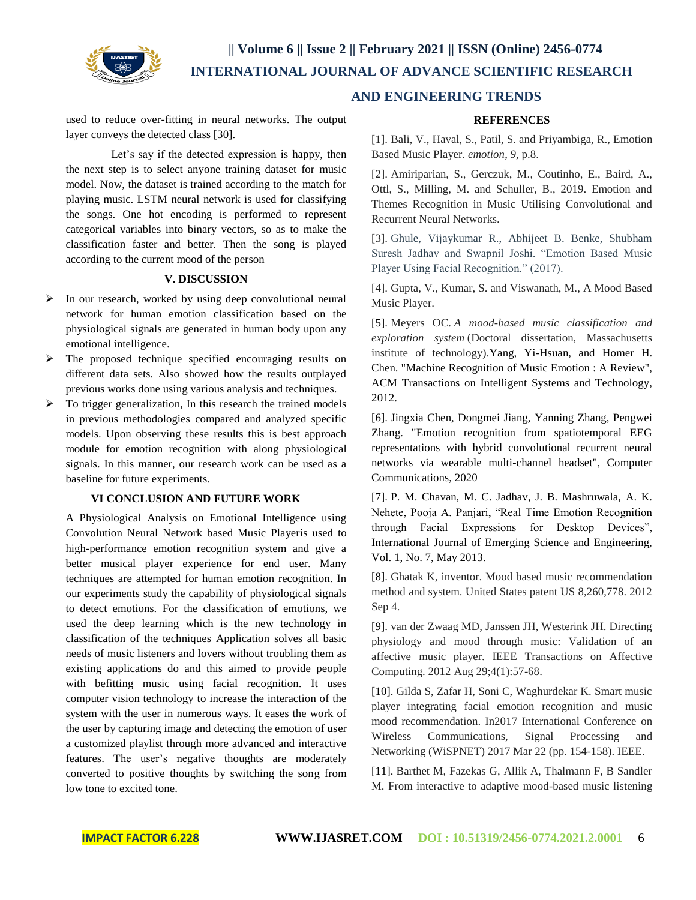

# **|| Volume 6 || Issue 2 || February 2021 || ISSN (Online) 2456-0774 INTERNATIONAL JOURNAL OF ADVANCE SCIENTIFIC RESEARCH**

used to reduce over-fitting in neural networks. The output layer conveys the detected class [30].

Let's say if the detected expression is happy, then the next step is to select anyone training dataset for music model. Now, the dataset is trained according to the match for playing music. LSTM neural network is used for classifying the songs. One hot encoding is performed to represent categorical variables into binary vectors, so as to make the classification faster and better. Then the song is played according to the current mood of the person

### **V. DISCUSSION**

- $\triangleright$  In our research, worked by using deep convolutional neural network for human emotion classification based on the physiological signals are generated in human body upon any emotional intelligence.
- $\triangleright$  The proposed technique specified encouraging results on different data sets. Also showed how the results outplayed previous works done using various analysis and techniques.
- $\triangleright$  To trigger generalization, In this research the trained models in previous methodologies compared and analyzed specific models. Upon observing these results this is best approach module for emotion recognition with along physiological signals. In this manner, our research work can be used as a baseline for future experiments.

### **VI CONCLUSION AND FUTURE WORK**

A Physiological Analysis on Emotional Intelligence using Convolution Neural Network based Music Playeris used to high-performance emotion recognition system and give a better musical player experience for end user. Many techniques are attempted for human emotion recognition. In our experiments study the capability of physiological signals to detect emotions. For the classification of emotions, we used the deep learning which is the new technology in classification of the techniques Application solves all basic needs of music listeners and lovers without troubling them as existing applications do and this aimed to provide people with befitting music using facial recognition. It uses computer vision technology to increase the interaction of the system with the user in numerous ways. It eases the work of the user by capturing image and detecting the emotion of user a customized playlist through more advanced and interactive features. The user's negative thoughts are moderately converted to positive thoughts by switching the song from low tone to excited tone.

# **AND ENGINEERING TRENDS**

# **REFERENCES**

[1]. Bali, V., Haval, S., Patil, S. and Priyambiga, R., Emotion Based Music Player. *emotion*, *9*, p.8.

[2]. Amiriparian, S., Gerczuk, M., Coutinho, E., Baird, A., Ottl, S., Milling, M. and Schuller, B., 2019. Emotion and Themes Recognition in Music Utilising Convolutional and Recurrent Neural Networks.

[3]. Ghule, Vijaykumar R., Abhijeet B. Benke, Shubham Suresh Jadhav and Swapnil Joshi. "Emotion Based Music Player Using Facial Recognition." (2017).

[4]. Gupta, V., Kumar, S. and Viswanath, M., A Mood Based Music Player.

[5]. Meyers OC. *A mood-based music classification and exploration system* (Doctoral dissertation, Massachusetts institute of technology).Yang, Yi-Hsuan, and Homer H. Chen. "Machine Recognition of Music Emotion : A Review", ACM Transactions on Intelligent Systems and Technology, 2012.

[6]. Jingxia Chen, Dongmei Jiang, Yanning Zhang, Pengwei Zhang. "Emotion recognition from spatiotemporal EEG representations with hybrid convolutional recurrent neural networks via wearable multi-channel headset", Computer Communications, 2020

[7]. P. M. Chavan, M. C. Jadhav, J. B. Mashruwala, A. K. Nehete, Pooja A. Panjari, "Real Time Emotion Recognition through Facial Expressions for Desktop Devices", International Journal of Emerging Science and Engineering, Vol. 1, No. 7, May 2013.

[8]. Ghatak K, inventor. Mood based music recommendation method and system. United States patent US 8,260,778. 2012 Sep 4.

[9]. van der Zwaag MD, Janssen JH, Westerink JH. Directing physiology and mood through music: Validation of an affective music player. IEEE Transactions on Affective Computing. 2012 Aug 29;4(1):57-68.

[10]. Gilda S, Zafar H, Soni C, Waghurdekar K. Smart music player integrating facial emotion recognition and music mood recommendation. In2017 International Conference on Wireless Communications, Signal Processing and Networking (WiSPNET) 2017 Mar 22 (pp. 154-158). IEEE.

[11]. Barthet M, Fazekas G, Allik A, Thalmann F, B Sandler M. From interactive to adaptive mood-based music listening